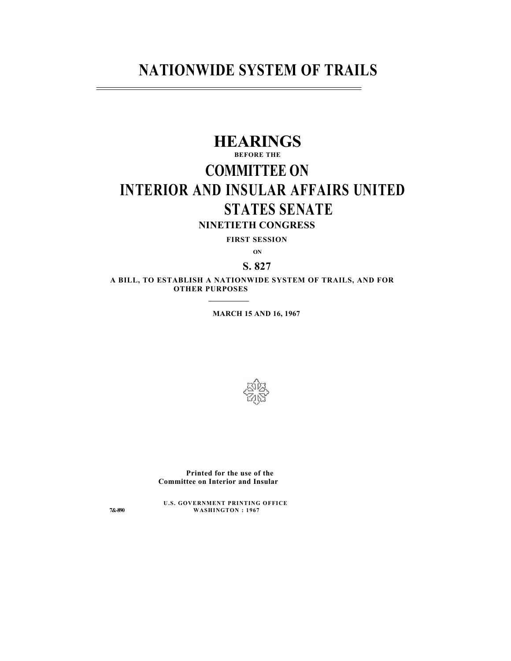## **NATIONWIDE SYSTEM OF TRAILS**

# **HEARINGS**

## **BEFORE THE**

# **COMMITTEE ON INTERIOR AND INSULAR AFFAIRS UNITED STATES SENATE**

**NINETIETH CONGRESS**

**FIRST SESSION**

**ON**

## **S. 827**

**A BILL, TO ESTABLISH A NATIONWIDE SYSTEM OF TRAILS, AND FOR OTHER PURPOSES**

**MARCH 15 AND 16, 1967**



**Printed for the use of the Committee on Interior and Insular** 

**U.S. GOVERNMENT PRINTING OFFICE 7&-890 WASHINGTON : 1967**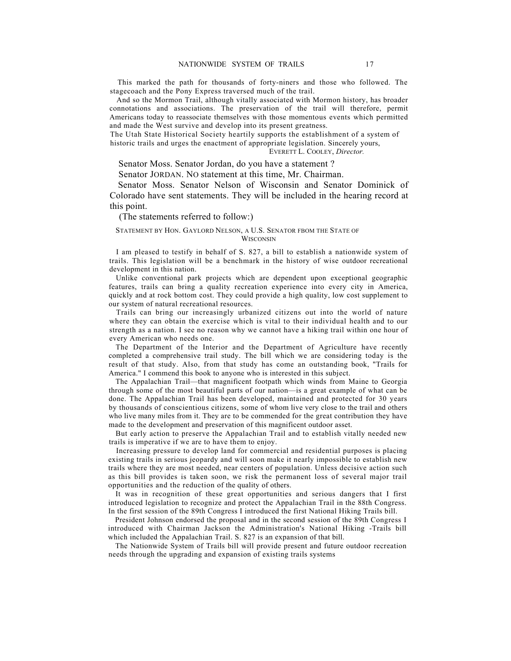And so the Mormon Trail, although vitally associated with Mormon history, has broader connotations and associations. The preservation of the trail will therefore, permit Americans today to reassociate themselves with those momentous events which permitted and made the West survive and develop into its present greatness.

The Utah State Historical Society heartily supports the establishment of a system of historic trails and urges the enactment of appropriate legislation. Sincerely yours,

EVERETT L. COOLEY, *Director.*

Senator Moss. Senator Jordan, do you have a statement ?

Senator JORDAN. NO statement at this time, Mr. Chairman.

Senator Moss. Senator Nelson of Wisconsin and Senator Dominick of Colorado have sent statements. They will be included in the hearing record at this point.

(The statements referred to follow:)

### STATEMENT BY HON. GAYLORD NELSON, A U.S. SENATOR FBOM THE STATE OF **WISCONSIN**

I am pleased to testify in behalf of S. 827, a bill to establish a nationwide system of trails. This legislation will be a benchmark in the history of wise outdoor recreational development in this nation.

Unlike conventional park projects which are dependent upon exceptional geographic features, trails can bring a quality recreation experience into every city in America, quickly and at rock bottom cost. They could provide a high quality, low cost supplement to our system of natural recreational resources.

Trails can bring our increasingly urbanized citizens out into the world of nature where they can obtain the exercise which is vital to their individual health and to our strength as a nation. I see no reason why we cannot have a hiking trail within one hour of every American who needs one.

The Department of the Interior and the Department of Agriculture have recently completed a comprehensive trail study. The bill which we are considering today is the result of that study. Also, from that study has come an outstanding book, "Trails for America." I commend this book to anyone who is interested in this subject.

The Appalachian Trail—that magnificent footpath which winds from Maine to Georgia through some of the most beautiful parts of our nation—is a great example of what can be done. The Appalachian Trail has been developed, maintained and protected for 30 years by thousands of conscientious citizens, some of whom live very close to the trail and others who live many miles from it. They are to be commended for the great contribution they have made to the development and preservation of this magnificent outdoor asset.

But early action to preserve the Appalachian Trail and to establish vitally needed new trails is imperative if we are to have them to enjoy.

Increasing pressure to develop land for commercial and residential purposes is placing existing trails in serious jeopardy and will soon make it nearly impossible to establish new trails where they are most needed, near centers of population. Unless decisive action such as this bill provides is taken soon, we risk the permanent loss of several major trail opportunities and the reduction of the quality of others.

It was in recognition of these great opportunities and serious dangers that I first introduced legislation to recognize and protect the Appalachian Trail in the 88th Congress. In the first session of the 89th Congress I introduced the first National Hiking Trails bill.

President Johnson endorsed the proposal and in the second session of the 89th Congress I introduced with Chairman Jackson the Administration's National Hiking -Trails bill which included the Appalachian Trail. S. 827 is an expansion of that bill.

The Nationwide System of Trails bill will provide present and future outdoor recreation needs through the upgrading and expansion of existing trails systems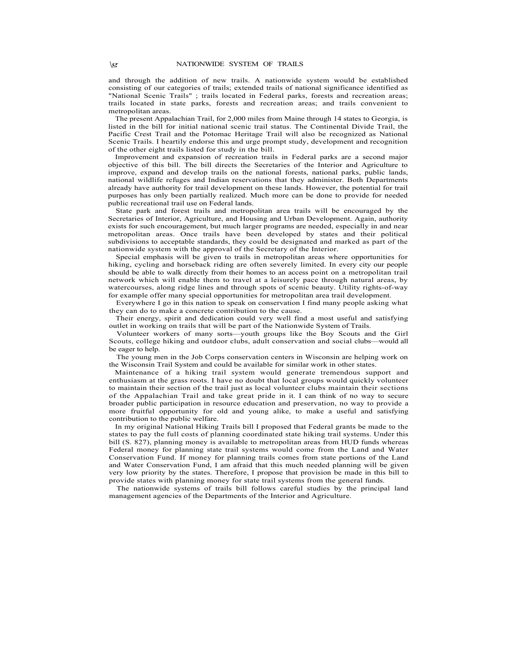and through the addition of new trails. A nationwide system would be established consisting of our categories of trails; extended trails of national significance identified as "National Scenic Trails" ; trails located in Federal parks, forests and recreation areas; trails located in state parks, forests and recreation areas; and trails convenient to metropolitan areas.

The present Appalachian Trail, for 2,000 miles from Maine through 14 states to Georgia, is listed in the bill for initial national scenic trail status. The Continental Divide Trail, the Pacific Crest Trail and the Potomac Heritage Trail will also be recognized as National Scenic Trails. I heartily endorse this and urge prompt study, development and recognition of the other eight trails listed for study in the bill.

Improvement and expansion of recreation trails in Federal parks are a second major objective of this bill. The bill directs the Secretaries of the Interior and Agriculture to improve, expand and develop trails on the national forests, national parks, public lands, national wildlife refuges and Indian reservations that they administer. Both Departments already have authority for trail development on these lands. However, the potential for trail purposes has only been partially realized. Much more can be done to provide for needed public recreational trail use on Federal lands.

State park and forest trails and metropolitan area trails will be encouraged by the Secretaries of Interior, Agriculture, and Housing and Urban Development. Again, authority exists for such encouragement, but much larger programs are needed, especially in and near metropolitan areas. Once trails have been developed by states and their political subdivisions to acceptable standards, they could be designated and marked as part of the nationwide system with the approval of the Secretary of the Interior.

Special emphasis will be given to trails in metropolitan areas where opportunities for hiking, cycling and horseback riding are often severely limited. In every city our people should be able to walk directly from their homes to an access point on a metropolitan trail network which will enable them to travel at a leisurely pace through natural areas, by watercourses, along ridge lines and through spots of scenic beauty. Utility rights-of-way for example offer many special opportunities for metropolitan area trail development.

Everywhere I go in this nation to speak on conservation I find many people asking what they can do to make a concrete contribution to the cause.

Their energy, spirit and dedication could very well find a most useful and satisfying outlet in working on trails that will be part of the Nationwide System of Trails.

Volunteer workers of many sorts—youth groups like the Boy Scouts and the Girl Scouts, college hiking and outdoor clubs, adult conservation and social clubs—would all be eager to help.

The young men in the Job Corps conservation centers in Wisconsin are helping work on the Wisconsin Trail System and could be available for similar work in other states.

Maintenance of a hiking trail system would generate tremendous support and enthusiasm at the grass roots. I have no doubt that local groups would quickly volunteer to maintain their section of the trail just as local volunteer clubs maintain their sections of the Appalachian Trail and take great pride in it. I can think of no way to secure broader public participation in resource education and preservation, no way to provide a more fruitful opportunity for old and young alike, to make a useful and satisfying contribution to the public welfare.

In my original National Hiking Trails bill I proposed that Federal grants be made to the states to pay the full costs of planning coordinated state hiking trail systems. Under this bill (S. 827), planning money is available to metropolitan areas from HUD funds whereas Federal money for planning state trail systems would come from the Land and Water Conservation Fund. If money for planning trails comes from state portions of the Land and Water Conservation Fund, I am afraid that this much needed planning will be given very low priority by the states. Therefore, I propose that provision be made in this bill to provide states with planning money for state trail systems from the general funds.

The nationwide systems of trails bill follows careful studies by the principal land management agencies of the Departments of the Interior and Agriculture.